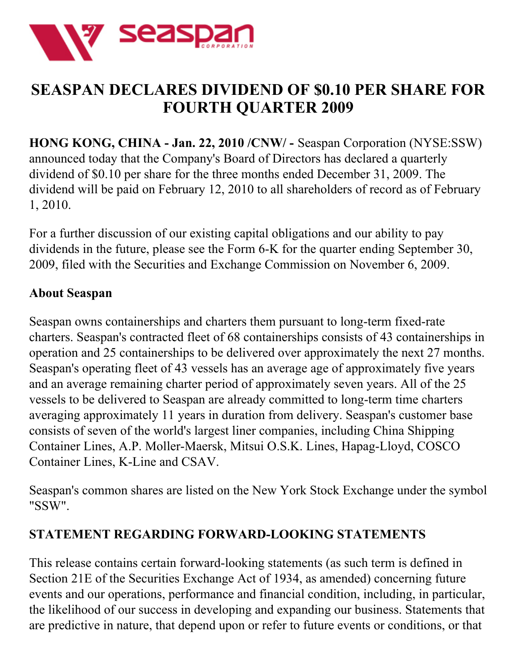

## **SEASPAN DECLARES DIVIDEND OF \$0.10 PER SHARE FOR FOURTH QUARTER 2009**

**HONG KONG, CHINA - Jan. 22, 2010 /CNW/ -** Seaspan Corporation (NYSE:SSW) announced today that the Company's Board of Directors has declared a quarterly dividend of \$0.10 per share for the three months ended December 31, 2009. The dividend will be paid on February 12, 2010 to all shareholders of record as of February 1, 2010.

For a further discussion of our existing capital obligations and our ability to pay dividends in the future, please see the Form 6-K for the quarter ending September 30, 2009, filed with the Securities and Exchange Commission on November 6, 2009.

## **About Seaspan**

Seaspan owns containerships and charters them pursuant to long-term fixed-rate charters. Seaspan's contracted fleet of 68 containerships consists of 43 containerships in operation and 25 containerships to be delivered over approximately the next 27 months. Seaspan's operating fleet of 43 vessels has an average age of approximately five years and an average remaining charter period of approximately seven years. All of the 25 vessels to be delivered to Seaspan are already committed to long-term time charters averaging approximately 11 years in duration from delivery. Seaspan's customer base consists of seven of the world's largest liner companies, including China Shipping Container Lines, A.P. Moller-Maersk, Mitsui O.S.K. Lines, Hapag-Lloyd, COSCO Container Lines, K-Line and CSAV.

Seaspan's common shares are listed on the New York Stock Exchange under the symbol "SSW".

## **STATEMENT REGARDING FORWARD-LOOKING STATEMENTS**

This release contains certain forward-looking statements (as such term is defined in Section 21E of the Securities Exchange Act of 1934, as amended) concerning future events and our operations, performance and financial condition, including, in particular, the likelihood of our success in developing and expanding our business. Statements that are predictive in nature, that depend upon or refer to future events or conditions, or that